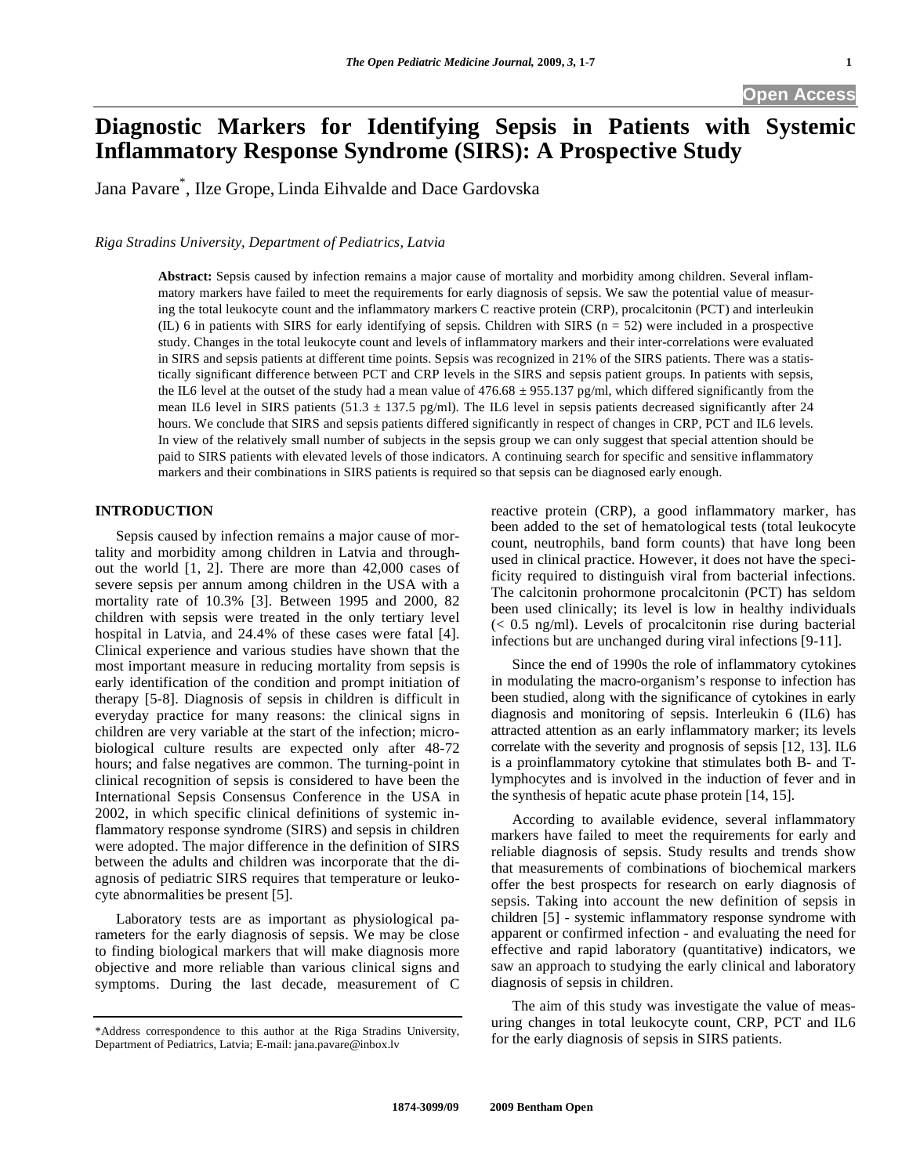# **Diagnostic Markers for Identifying Sepsis in Patients with Systemic Inflammatory Response Syndrome (SIRS): A Prospective Study**

Jana Pavare\* , Ilze Grope, Linda Eihvalde and Dace Gardovska

*Riga Stradins University, Department of Pediatrics, Latvia* 

**Abstract:** Sepsis caused by infection remains a major cause of mortality and morbidity among children. Several inflammatory markers have failed to meet the requirements for early diagnosis of sepsis. We saw the potential value of measuring the total leukocyte count and the inflammatory markers C reactive protein (CRP), procalcitonin (PCT) and interleukin (IL) 6 in patients with SIRS for early identifying of sepsis. Children with SIRS  $(n = 52)$  were included in a prospective study. Changes in the total leukocyte count and levels of inflammatory markers and their inter-correlations were evaluated in SIRS and sepsis patients at different time points. Sepsis was recognized in 21% of the SIRS patients. There was a statistically significant difference between PCT and CRP levels in the SIRS and sepsis patient groups. In patients with sepsis, the IL6 level at the outset of the study had a mean value of  $476.68 \pm 955.137$  pg/ml, which differed significantly from the mean IL6 level in SIRS patients (51.3  $\pm$  137.5 pg/ml). The IL6 level in sepsis patients decreased significantly after 24 hours. We conclude that SIRS and sepsis patients differed significantly in respect of changes in CRP, PCT and IL6 levels. In view of the relatively small number of subjects in the sepsis group we can only suggest that special attention should be paid to SIRS patients with elevated levels of those indicators. A continuing search for specific and sensitive inflammatory markers and their combinations in SIRS patients is required so that sepsis can be diagnosed early enough.

## **INTRODUCTION**

 Sepsis caused by infection remains a major cause of mortality and morbidity among children in Latvia and throughout the world [1, 2]. There are more than 42,000 cases of severe sepsis per annum among children in the USA with a mortality rate of 10.3% [3]. Between 1995 and 2000, 82 children with sepsis were treated in the only tertiary level hospital in Latvia, and 24.4% of these cases were fatal [4]. Clinical experience and various studies have shown that the most important measure in reducing mortality from sepsis is early identification of the condition and prompt initiation of therapy [5-8]. Diagnosis of sepsis in children is difficult in everyday practice for many reasons: the clinical signs in children are very variable at the start of the infection; microbiological culture results are expected only after 48-72 hours; and false negatives are common. The turning-point in clinical recognition of sepsis is considered to have been the International Sepsis Consensus Conference in the USA in 2002, in which specific clinical definitions of systemic inflammatory response syndrome (SIRS) and sepsis in children were adopted. The major difference in the definition of SIRS between the adults and children was incorporate that the diagnosis of pediatric SIRS requires that temperature or leukocyte abnormalities be present [5].

 Laboratory tests are as important as physiological parameters for the early diagnosis of sepsis. We may be close to finding biological markers that will make diagnosis more objective and more reliable than various clinical signs and symptoms. During the last decade, measurement of C

reactive protein (CRP), a good inflammatory marker, has been added to the set of hematological tests (total leukocyte count, neutrophils, band form counts) that have long been used in clinical practice. However, it does not have the specificity required to distinguish viral from bacterial infections. The calcitonin prohormone procalcitonin (PCT) has seldom been used clinically; its level is low in healthy individuals (< 0.5 ng/ml). Levels of procalcitonin rise during bacterial infections but are unchanged during viral infections [9-11].

 Since the end of 1990s the role of inflammatory cytokines in modulating the macro-organism's response to infection has been studied, along with the significance of cytokines in early diagnosis and monitoring of sepsis. Interleukin 6 (IL6) has attracted attention as an early inflammatory marker; its levels correlate with the severity and prognosis of sepsis [12, 13]. IL6 is a proinflammatory cytokine that stimulates both B- and Tlymphocytes and is involved in the induction of fever and in the synthesis of hepatic acute phase protein [14, 15]*.* 

 According to available evidence, several inflammatory markers have failed to meet the requirements for early and reliable diagnosis of sepsis. Study results and trends show that measurements of combinations of biochemical markers offer the best prospects for research on early diagnosis of sepsis. Taking into account the new definition of sepsis in children [5] - systemic inflammatory response syndrome with apparent or confirmed infection - and evaluating the need for effective and rapid laboratory (quantitative) indicators, we saw an approach to studying the early clinical and laboratory diagnosis of sepsis in children.

 The aim of this study was investigate the value of measuring changes in total leukocyte count, CRP, PCT and IL6 for the early diagnosis of sepsis in SIRS patients.

<sup>\*</sup>Address correspondence to this author at the Riga Stradins University, Department of Pediatrics, Latvia; E-mail: jana.pavare@inbox.lv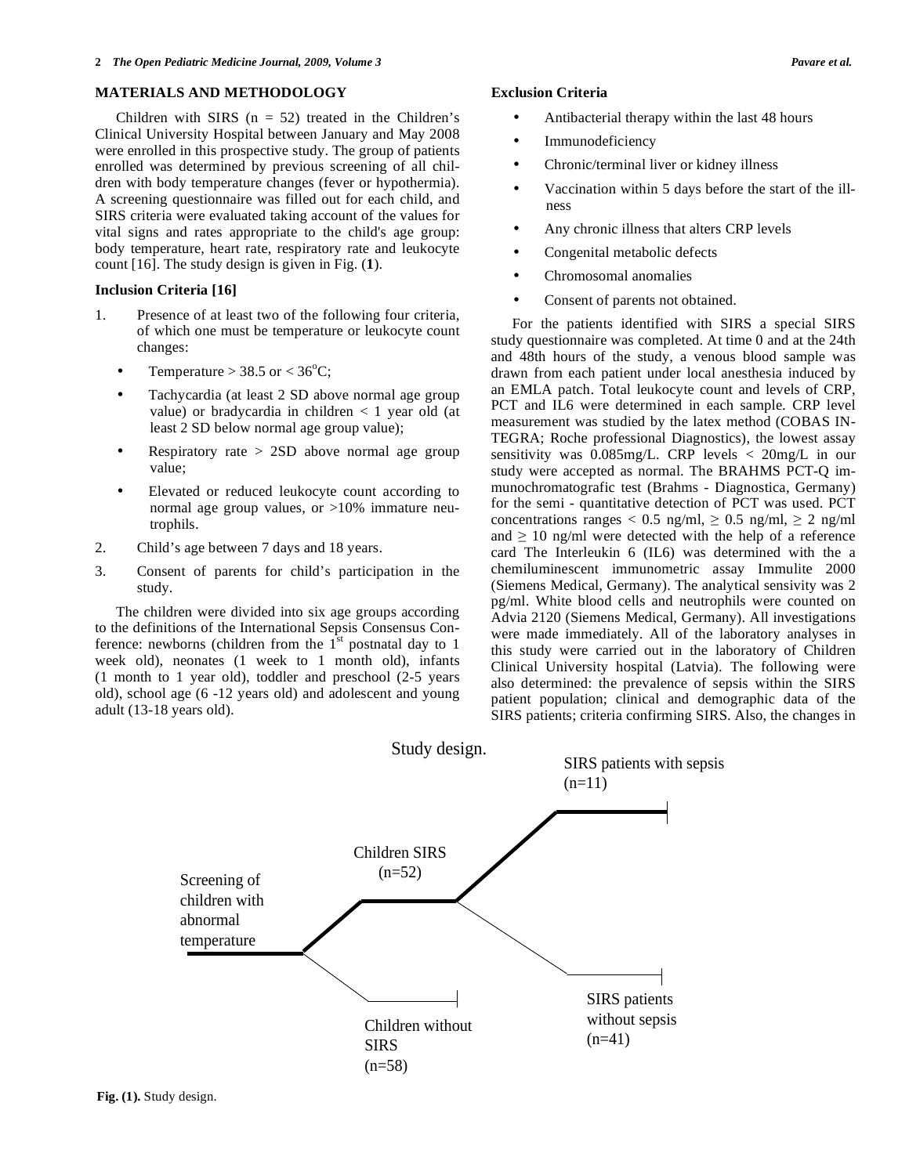## **MATERIALS AND METHODOLOGY**

Children with SIRS  $(n = 52)$  treated in the Children's Clinical University Hospital between January and May 2008 were enrolled in this prospective study. The group of patients enrolled was determined by previous screening of all children with body temperature changes (fever or hypothermia). A screening questionnaire was filled out for each child, and SIRS criteria were evaluated taking account of the values for vital signs and rates appropriate to the child's age group: body temperature, heart rate, respiratory rate and leukocyte count [16]. The study design is given in Fig. (**1**).

## **Inclusion Criteria [16]**

- 1. Presence of at least two of the following four criteria, of which one must be temperature or leukocyte count changes:
	- Temperature > 38.5 or <  $36^{\circ}$ C;
	- Tachycardia (at least 2 SD above normal age group value) or bradycardia in children < 1 year old (at least 2 SD below normal age group value);
	- Respiratory rate  $> 2SD$  above normal age group value;
	- Elevated or reduced leukocyte count according to normal age group values, or  $>10\%$  immature neutrophils.
- 2. Child's age between 7 days and 18 years.
- 3. Consent of parents for child's participation in the study.

 The children were divided into six age groups according to the definitions of the International Sepsis Consensus Conference: newborns (children from the  $1<sup>st</sup>$  postnatal day to 1 week old), neonates (1 week to 1 month old), infants (1 month to 1 year old), toddler and preschool (2-5 years old), school age (6 -12 years old) and adolescent and young adult (13-18 years old).

- Antibacterial therapy within the last 48 hours
- **Immunodeficiency**
- Chronic/terminal liver or kidney illness
- Vaccination within 5 days before the start of the illness
- Any chronic illness that alters CRP levels
- Congenital metabolic defects
- Chromosomal anomalies
- Consent of parents not obtained.

 For the patients identified with SIRS a special SIRS study questionnaire was completed. At time 0 and at the 24th and 48th hours of the study, a venous blood sample was drawn from each patient under local anesthesia induced by an EMLA patch. Total leukocyte count and levels of CRP, PCT and IL6 were determined in each sample. CRP level measurement was studied by the latex method (COBAS IN-TEGRA; Roche professional Diagnostics), the lowest assay sensitivity was 0.085mg/L. CRP levels < 20mg/L in our study were accepted as normal. The BRAHMS PCT-Q immunochromatografic test (Brahms - Diagnostica, Germany) for the semi - quantitative detection of PCT was used. PCT concentrations ranges  $< 0.5$  ng/ml,  $\ge 0.5$  ng/ml,  $\ge 2$  ng/ml and  $\geq 10$  ng/ml were detected with the help of a reference card The Interleukin 6 (IL6) was determined with the a chemiluminescent immunometric assay Immulite 2000 (Siemens Medical, Germany). The analytical sensivity was 2 pg/ml. White blood cells and neutrophils were counted on Advia 2120 (Siemens Medical, Germany). All investigations were made immediately. All of the laboratory analyses in this study were carried out in the laboratory of Children Clinical University hospital (Latvia). The following were also determined: the prevalence of sepsis within the SIRS patient population; clinical and demographic data of the SIRS patients; criteria confirming SIRS. Also, the changes in

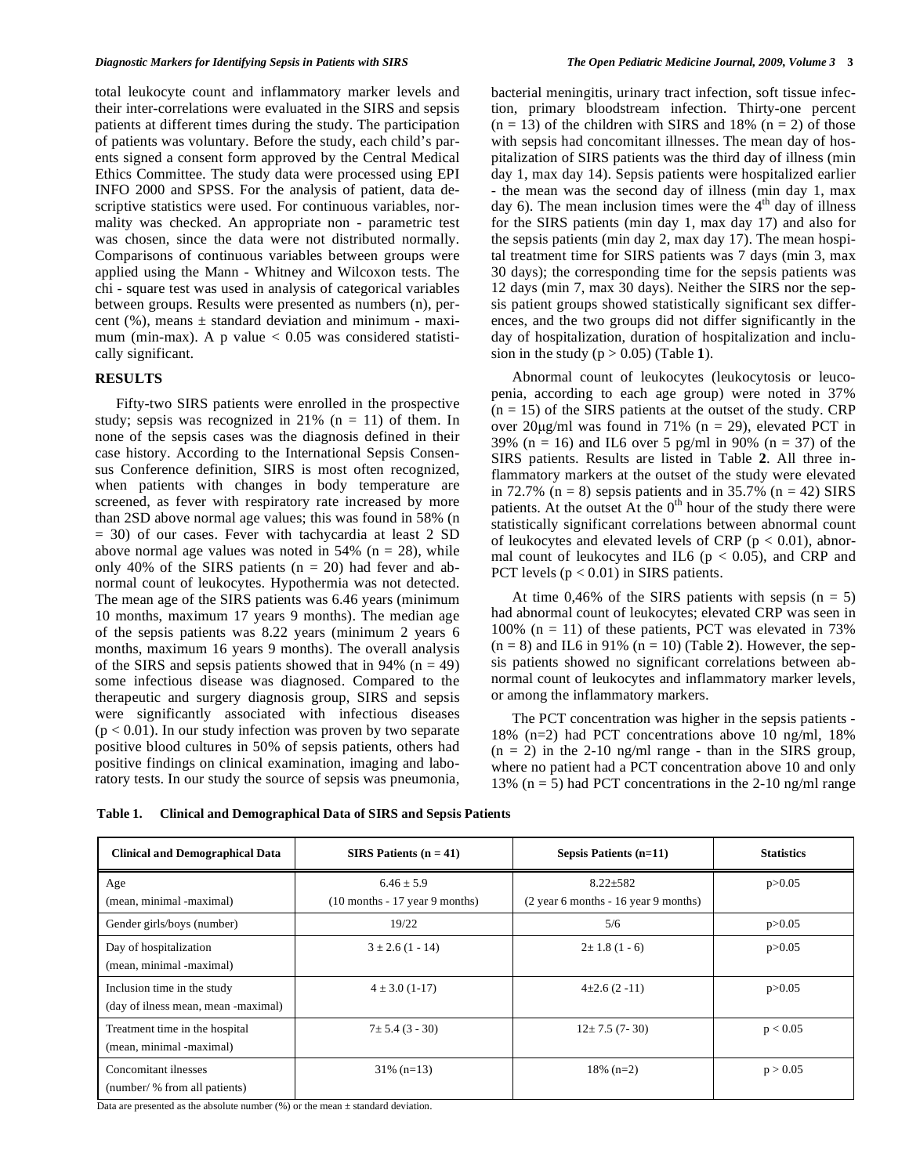total leukocyte count and inflammatory marker levels and their inter-correlations were evaluated in the SIRS and sepsis patients at different times during the study. The participation of patients was voluntary. Before the study, each child's parents signed a consent form approved by the Central Medical Ethics Committee. The study data were processed using EPI INFO 2000 and SPSS. For the analysis of patient, data descriptive statistics were used. For continuous variables, normality was checked. An appropriate non - parametric test was chosen, since the data were not distributed normally. Comparisons of continuous variables between groups were applied using the Mann - Whitney and Wilcoxon tests. The chi - square test was used in analysis of categorical variables between groups. Results were presented as numbers (n), percent  $(\%)$ , means  $\pm$  standard deviation and minimum - maximum (min-max). A p value  $< 0.05$  was considered statistically significant.

### **RESULTS**

 Fifty-two SIRS patients were enrolled in the prospective study; sepsis was recognized in 21%  $(n = 11)$  of them. In none of the sepsis cases was the diagnosis defined in their case history. According to the International Sepsis Consensus Conference definition, SIRS is most often recognized, when patients with changes in body temperature are screened, as fever with respiratory rate increased by more than 2SD above normal age values; this was found in 58% (n = 30) of our cases. Fever with tachycardia at least 2 SD above normal age values was noted in  $54\%$  (n = 28), while only 40% of the SIRS patients  $(n = 20)$  had fever and abnormal count of leukocytes. Hypothermia was not detected. The mean age of the SIRS patients was 6.46 years (minimum 10 months, maximum 17 years 9 months). The median age of the sepsis patients was 8.22 years (minimum 2 years 6 months, maximum 16 years 9 months). The overall analysis of the SIRS and sepsis patients showed that in 94% ( $n = 49$ ) some infectious disease was diagnosed. Compared to the therapeutic and surgery diagnosis group, SIRS and sepsis were significantly associated with infectious diseases  $(p < 0.01)$ . In our study infection was proven by two separate positive blood cultures in 50% of sepsis patients, others had positive findings on clinical examination, imaging and laboratory tests. In our study the source of sepsis was pneumonia, bacterial meningitis, urinary tract infection, soft tissue infection, primary bloodstream infection. Thirty-one percent  $(n = 13)$  of the children with SIRS and 18%  $(n = 2)$  of those with sepsis had concomitant illnesses. The mean day of hospitalization of SIRS patients was the third day of illness (min day 1, max day 14). Sepsis patients were hospitalized earlier - the mean was the second day of illness (min day 1, max day 6). The mean inclusion times were the  $4<sup>th</sup>$  day of illness for the SIRS patients (min day 1, max day 17) and also for the sepsis patients (min day 2, max day 17). The mean hospital treatment time for SIRS patients was 7 days (min 3, max 30 days); the corresponding time for the sepsis patients was 12 days (min 7, max 30 days). Neither the SIRS nor the sepsis patient groups showed statistically significant sex differences, and the two groups did not differ significantly in the day of hospitalization, duration of hospitalization and inclusion in the study  $(p > 0.05)$  (Table 1).

 Abnormal count of leukocytes (leukocytosis or leucopenia, according to each age group) were noted in 37%  $(n = 15)$  of the SIRS patients at the outset of the study. CRP over  $20\mu\text{g/ml}$  was found in 71% (n = 29), elevated PCT in 39% (n = 16) and IL6 over 5 pg/ml in 90% (n = 37) of the SIRS patients. Results are listed in Table **2**. All three inflammatory markers at the outset of the study were elevated in 72.7% ( $n = 8$ ) sepsis patients and in 35.7% ( $n = 42$ ) SIRS patients. At the outset At the  $0<sup>th</sup>$  hour of the study there were statistically significant correlations between abnormal count of leukocytes and elevated levels of CRP ( $p < 0.01$ ), abnormal count of leukocytes and IL6 ( $p < 0.05$ ), and CRP and PCT levels  $(p < 0.01)$  in SIRS patients.

At time  $0,46\%$  of the SIRS patients with sepsis (n = 5) had abnormal count of leukocytes; elevated CRP was seen in 100% ( $n = 11$ ) of these patients, PCT was elevated in 73%  $(n = 8)$  and IL6 in 91%  $(n = 10)$  (Table 2). However, the sepsis patients showed no significant correlations between abnormal count of leukocytes and inflammatory marker levels, or among the inflammatory markers.

 The PCT concentration was higher in the sepsis patients - 18% (n=2) had PCT concentrations above 10 ng/ml, 18%  $(n = 2)$  in the 2-10 ng/ml range - than in the SIRS group, where no patient had a PCT concentration above 10 and only 13% ( $n = 5$ ) had PCT concentrations in the 2-10 ng/ml range

| Table 1. | <b>Clinical and Demographical Data of SIRS and Sepsis Patients</b> |  |
|----------|--------------------------------------------------------------------|--|
|          |                                                                    |  |

| <b>Clinical and Demographical Data</b>                             | SIRS Patients $(n = 41)$                            | Sepsis Patients $(n=11)$                               | <b>Statistics</b> |
|--------------------------------------------------------------------|-----------------------------------------------------|--------------------------------------------------------|-------------------|
| Age<br>(mean, minimal -maximal)                                    | $6.46 \pm 5.9$<br>$(10$ months $-17$ year 9 months) | $8.22 \pm 582$<br>(2 year 6 months - 16 year 9 months) | p > 0.05          |
| Gender girls/boys (number)                                         | 19/22                                               | 5/6                                                    | p > 0.05          |
| Day of hospitalization<br>(mean, minimal -maximal)                 | $3 \pm 2.6$ (1 - 14)                                | $2 \pm 1.8$ (1 - 6)                                    | p > 0.05          |
| Inclusion time in the study<br>(day of ilness mean, mean -maximal) | $4 \pm 3.0$ (1-17)                                  | $4\pm2.6(2-11)$                                        | p > 0.05          |
| Treatment time in the hospital<br>(mean, minimal -maximal)         | $7 \pm 5.4$ (3 - 30)                                | $12 \pm 7.5$ (7-30)                                    | p < 0.05          |
| Concomitant ilnesses<br>(number/ % from all patients)              | $31\%$ (n=13)                                       | $18\%$ (n=2)                                           | p > 0.05          |

Data are presented as the absolute number  $(\%)$  or the mean  $\pm$  standard deviation.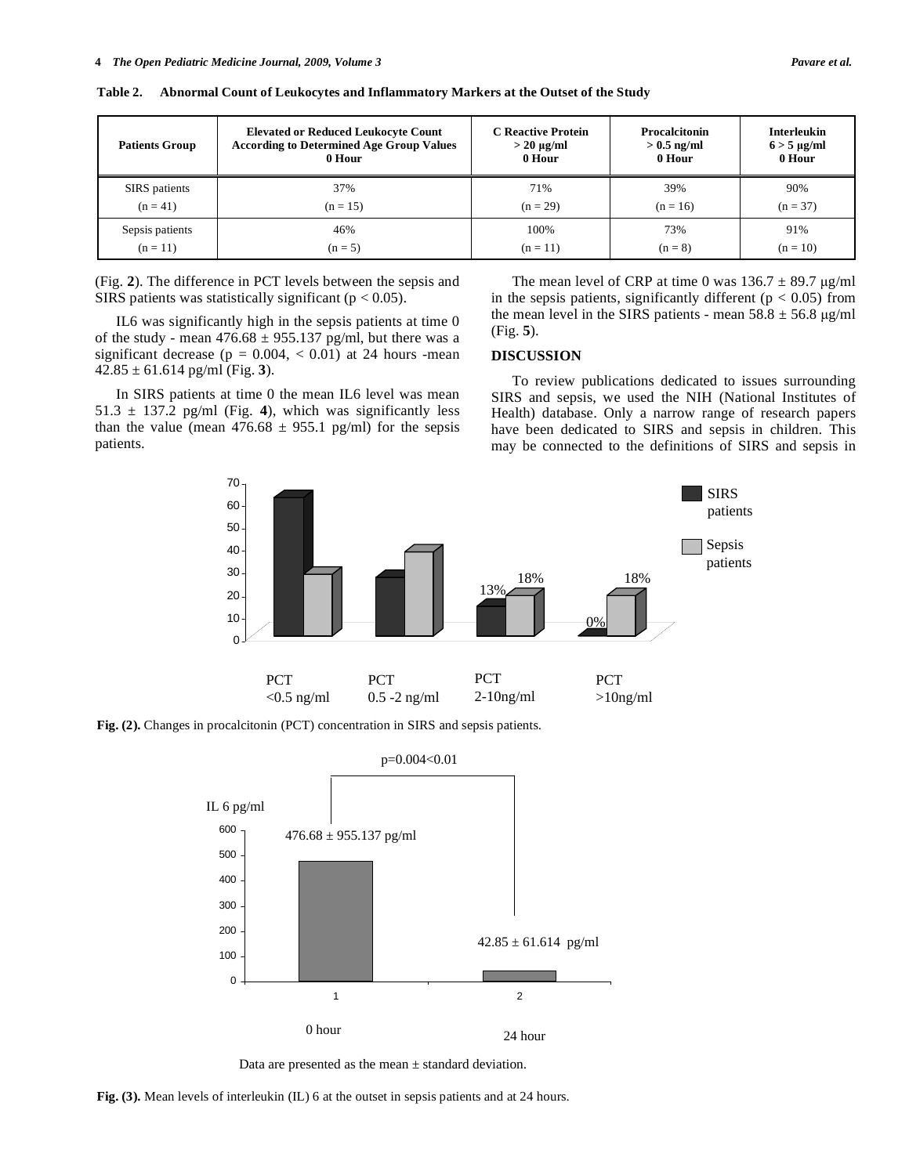| <b>Patients Group</b> | <b>Elevated or Reduced Leukocyte Count</b>      | <b>C</b> Reactive Protein | Procalcitonin | <b>Interleukin</b>    |
|-----------------------|-------------------------------------------------|---------------------------|---------------|-----------------------|
|                       | <b>According to Determined Age Group Values</b> | $> 20 \mu g/ml$           | $> 0.5$ ng/ml | $6 > 5 \text{ µg/ml}$ |
|                       | 0 Hour                                          | 0 Hour                    | 0 Hour        | 0 Hour                |
| SIRS patients         | 37%                                             | 71%                       | 39%           | 90%                   |
| $(n = 41)$            | $(n = 15)$                                      | $(n = 29)$                | $(n = 16)$    | $(n = 37)$            |
| Sepsis patients       | 46%                                             | 100%                      | 73%           | 91%                   |
| $(n = 11)$            | $(n = 5)$                                       | $(n = 11)$                | $(n = 8)$     | $(n = 10)$            |

**Table 2. Abnormal Count of Leukocytes and Inflammatory Markers at the Outset of the Study** 

(Fig. **2**). The difference in PCT levels between the sepsis and SIRS patients was statistically significant ( $p < 0.05$ ).

 IL6 was significantly high in the sepsis patients at time 0 of the study - mean  $476.68 \pm 955.137$  pg/ml, but there was a significant decrease ( $p = 0.004$ ,  $< 0.01$ ) at 24 hours -mean 42.85 ± 61.614 pg/ml (Fig. **3**).

 In SIRS patients at time 0 the mean IL6 level was mean  $51.3 \pm 137.2$  pg/ml (Fig. 4), which was significantly less than the value (mean  $476.68 \pm 955.1$  pg/ml) for the sepsis patients.

The mean level of CRP at time 0 was  $136.7 \pm 89.7$   $\mu$ g/ml in the sepsis patients, significantly different ( $p < 0.05$ ) from the mean level in the SIRS patients - mean  $58.8 \pm 56.8$  μg/ml (Fig. **5**).

#### **DISCUSSION**

 To review publications dedicated to issues surrounding SIRS and sepsis, we used the NIH (National Institutes of Health) database. Only a narrow range of research papers have been dedicated to SIRS and sepsis in children. This may be connected to the definitions of SIRS and sepsis in



**Fig. (2).** Changes in procalcitonin (PCT) concentration in SIRS and sepsis patients.



Data are presented as the mean  $\pm$  standard deviation.

**Fig. (3).** Mean levels of interleukin (IL) 6 at the outset in sepsis patients and at 24 hours.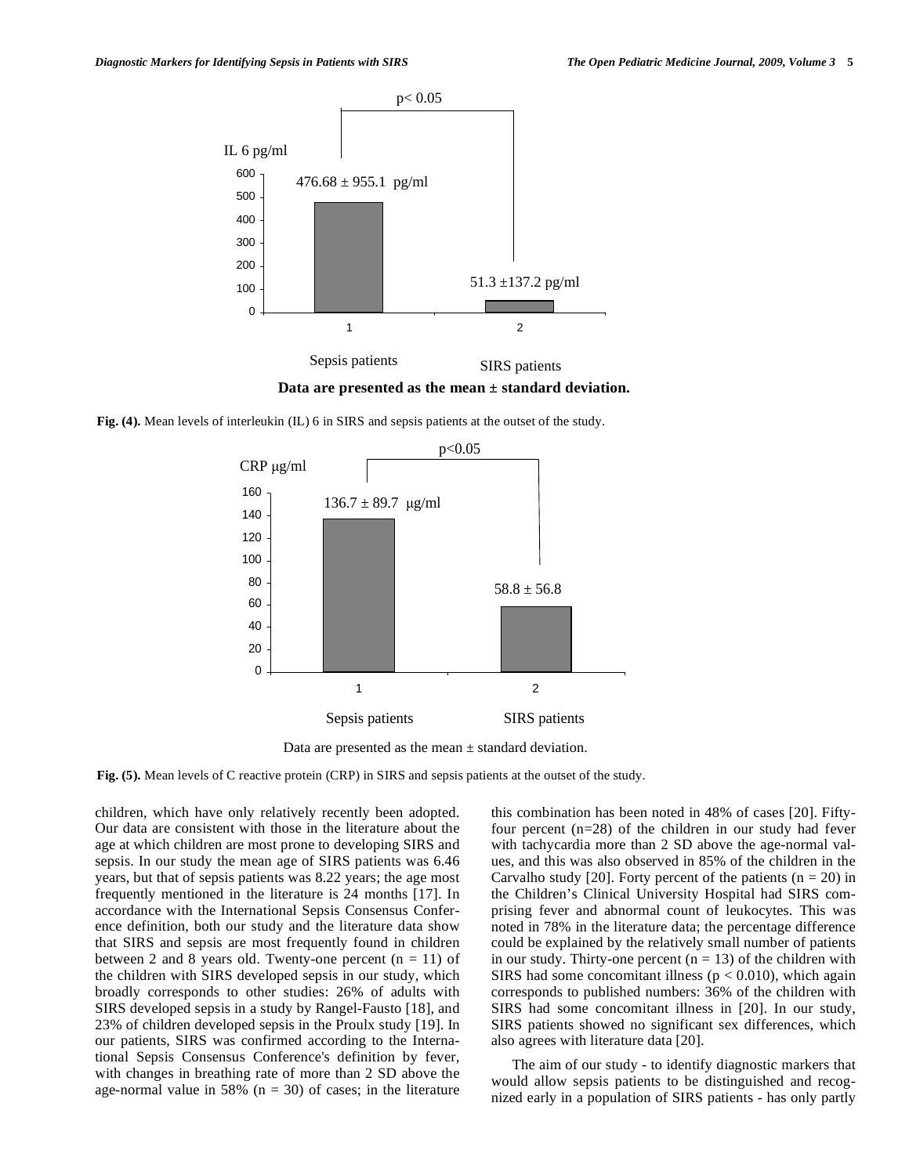

**Fig. (4).** Mean levels of interleukin (IL) 6 in SIRS and sepsis patients at the outset of the study.



Data are presented as the mean  $\pm$  standard deviation.

**Fig. (5).** Mean levels of C reactive protein (CRP) in SIRS and sepsis patients at the outset of the study.

children, which have only relatively recently been adopted. Our data are consistent with those in the literature about the age at which children are most prone to developing SIRS and sepsis. In our study the mean age of SIRS patients was 6.46 years, but that of sepsis patients was 8.22 years; the age most frequently mentioned in the literature is 24 months [17]. In accordance with the International Sepsis Consensus Conference definition, both our study and the literature data show that SIRS and sepsis are most frequently found in children between 2 and 8 years old. Twenty-one percent  $(n = 11)$  of the children with SIRS developed sepsis in our study, which broadly corresponds to other studies: 26% of adults with SIRS developed sepsis in a study by Rangel-Fausto [18], and 23% of children developed sepsis in the Proulx study [19]. In our patients, SIRS was confirmed according to the International Sepsis Consensus Conference's definition by fever, with changes in breathing rate of more than 2 SD above the age-normal value in 58% ( $n = 30$ ) of cases; in the literature this combination has been noted in 48% of cases [20]. Fiftyfour percent (n=28) of the children in our study had fever with tachycardia more than 2 SD above the age-normal values, and this was also observed in 85% of the children in the Carvalho study [20]. Forty percent of the patients  $(n = 20)$  in the Children's Clinical University Hospital had SIRS comprising fever and abnormal count of leukocytes. This was noted in 78% in the literature data; the percentage difference could be explained by the relatively small number of patients in our study. Thirty-one percent  $(n = 13)$  of the children with SIRS had some concomitant illness ( $p < 0.010$ ), which again corresponds to published numbers: 36% of the children with SIRS had some concomitant illness in [20]. In our study, SIRS patients showed no significant sex differences, which also agrees with literature data [20].

 The aim of our study - to identify diagnostic markers that would allow sepsis patients to be distinguished and recognized early in a population of SIRS patients - has only partly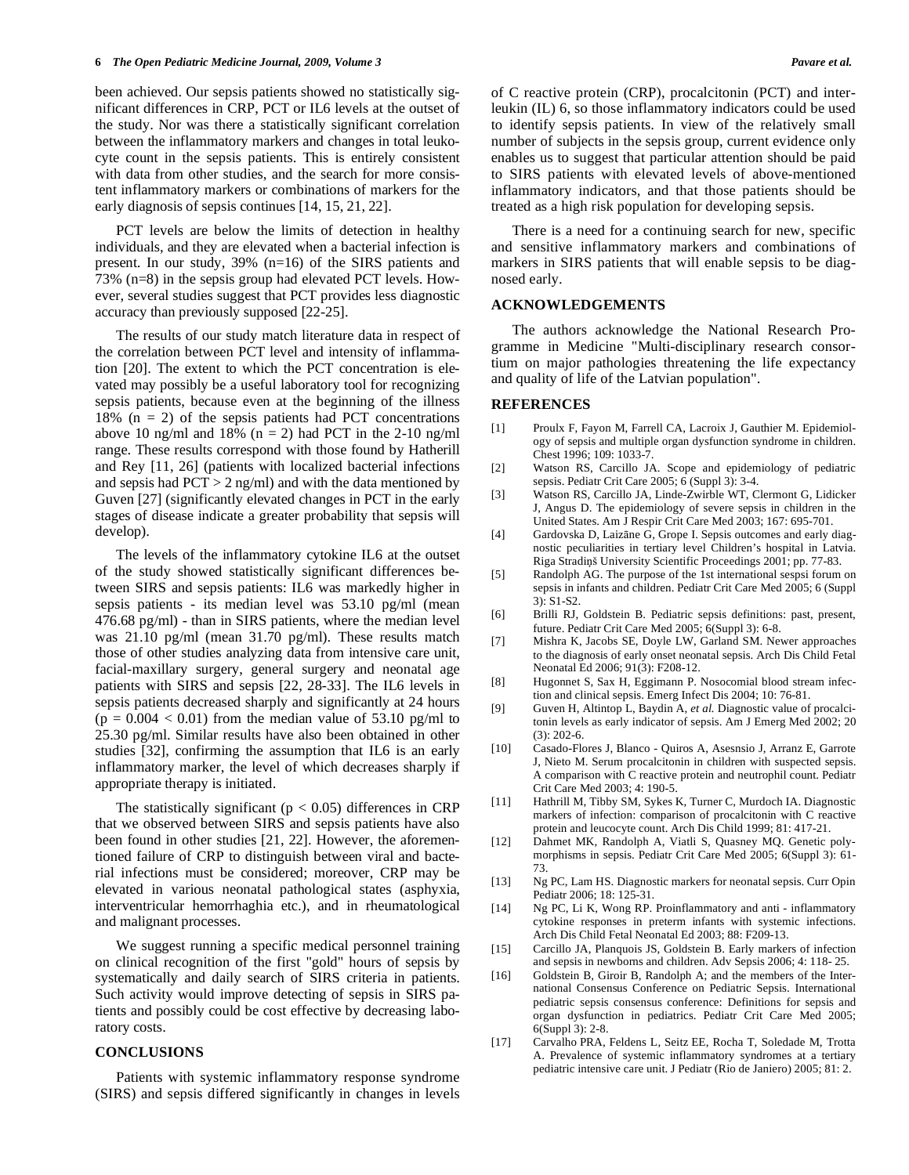been achieved. Our sepsis patients showed no statistically significant differences in CRP, PCT or IL6 levels at the outset of the study. Nor was there a statistically significant correlation between the inflammatory markers and changes in total leukocyte count in the sepsis patients. This is entirely consistent with data from other studies, and the search for more consistent inflammatory markers or combinations of markers for the early diagnosis of sepsis continues [14, 15, 21, 22].

 PCT levels are below the limits of detection in healthy individuals, and they are elevated when a bacterial infection is present. In our study, 39% (n=16) of the SIRS patients and 73% (n=8) in the sepsis group had elevated PCT levels. However, several studies suggest that PCT provides less diagnostic accuracy than previously supposed [22-25].

 The results of our study match literature data in respect of the correlation between PCT level and intensity of inflammation [20]. The extent to which the PCT concentration is elevated may possibly be a useful laboratory tool for recognizing sepsis patients, because even at the beginning of the illness 18%  $(n = 2)$  of the sepsis patients had PCT concentrations above 10 ng/ml and 18% ( $n = 2$ ) had PCT in the 2-10 ng/ml range. These results correspond with those found by Hatherill and Rey [11, 26] (patients with localized bacterial infections and sepsis had  $PCT > 2$  ng/ml) and with the data mentioned by Guven [27] (significantly elevated changes in PCT in the early stages of disease indicate a greater probability that sepsis will develop).

 The levels of the inflammatory cytokine IL6 at the outset of the study showed statistically significant differences between SIRS and sepsis patients: IL6 was markedly higher in sepsis patients - its median level was 53.10 pg/ml (mean 476.68 pg/ml) - than in SIRS patients, where the median level was 21.10 pg/ml (mean 31.70 pg/ml). These results match those of other studies analyzing data from intensive care unit, facial-maxillary surgery, general surgery and neonatal age patients with SIRS and sepsis [22, 28-33]. The IL6 levels in sepsis patients decreased sharply and significantly at 24 hours  $(p = 0.004 < 0.01)$  from the median value of 53.10 pg/ml to 25.30 pg/ml. Similar results have also been obtained in other studies [32], confirming the assumption that IL6 is an early inflammatory marker, the level of which decreases sharply if appropriate therapy is initiated.

The statistically significant ( $p < 0.05$ ) differences in CRP that we observed between SIRS and sepsis patients have also been found in other studies [21, 22]. However, the aforementioned failure of CRP to distinguish between viral and bacterial infections must be considered; moreover, CRP may be elevated in various neonatal pathological states (asphyxia, interventricular hemorrhaghia etc.), and in rheumatological and malignant processes.

 We suggest running a specific medical personnel training on clinical recognition of the first "gold" hours of sepsis by systematically and daily search of SIRS criteria in patients. Such activity would improve detecting of sepsis in SIRS patients and possibly could be cost effective by decreasing laboratory costs.

### **CONCLUSIONS**

 Patients with systemic inflammatory response syndrome (SIRS) and sepsis differed significantly in changes in levels of C reactive protein (CRP), procalcitonin (PCT) and interleukin (IL) 6, so those inflammatory indicators could be used to identify sepsis patients. In view of the relatively small number of subjects in the sepsis group, current evidence only enables us to suggest that particular attention should be paid to SIRS patients with elevated levels of above-mentioned inflammatory indicators, and that those patients should be treated as a high risk population for developing sepsis.

 There is a need for a continuing search for new, specific and sensitive inflammatory markers and combinations of markers in SIRS patients that will enable sepsis to be diagnosed early.

## **ACKNOWLEDGEMENTS**

 The authors acknowledge the National Research Programme in Medicine "Multi-disciplinary research consortium on major pathologies threatening the life expectancy and quality of life of the Latvian population".

#### **REFERENCES**

- [1] Proulx F, Fayon M, Farrell CA, Lacroix J, Gauthier M. Epidemiology of sepsis and multiple organ dysfunction syndrome in children. Chest 1996; 109: 1033-7.
- [2] Watson RS, Carcillo JA. Scope and epidemiology of pediatric sepsis. Pediatr Crit Care 2005; 6 (Suppl 3): 3-4.
- [3] Watson RS, Carcillo JA, Linde-Zwirble WT, Clermont G, Lidicker J, Angus D. The epidemiology of severe sepsis in children in the United States. Am J Respir Crit Care Med 2003; 167: 695-701.
- [4] Gardovska D, Laizāne G, Grope I. Sepsis outcomes and early diagnostic peculiarities in tertiary level Children's hospital in Latvia. Riga Stradiņš University Scientific Proceedings 2001; pp. 77-83.
- [5] Randolph AG. The purpose of the 1st international sespsi forum on sepsis in infants and children. Pediatr Crit Care Med 2005; 6 (Suppl 3): S1-S2.
- [6] Brilli RJ, Goldstein B. Pediatric sepsis definitions: past, present, future. Pediatr Crit Care Med 2005; 6(Suppl 3): 6-8.
- [7] Mishra K, Jacobs SE, Doyle LW, Garland SM. Newer approaches to the diagnosis of early onset neonatal sepsis. Arch Dis Child Fetal Neonatal Ed 2006; 91(3): F208-12.
- [8] Hugonnet S, Sax H, Eggimann P. Nosocomial blood stream infection and clinical sepsis. Emerg Infect Dis 2004; 10: 76-81.
- [9] Guven H, Altintop L, Baydin A, *et al.* Diagnostic value of procalcitonin levels as early indicator of sepsis. Am J Emerg Med 2002; 20 (3): 202-6.
- [10] Casado-Flores J, Blanco Quiros A, Asesnsio J, Arranz E, Garrote J, Nieto M. Serum procalcitonin in children with suspected sepsis. A comparison with C reactive protein and neutrophil count. Pediatr Crit Care Med 2003; 4: 190-5.
- [11] Hathrill M, Tibby SM, Sykes K, Turner C, Murdoch IA. Diagnostic markers of infection: comparison of procalcitonin with C reactive protein and leucocyte count. Arch Dis Child 1999; 81: 417-21.
- [12] Dahmet MK, Randolph A, Viatli S, Quasney MQ. Genetic polymorphisms in sepsis. Pediatr Crit Care Med 2005; 6(Suppl 3): 61- 73.
- [13] Ng PC, Lam HS. Diagnostic markers for neonatal sepsis. Curr Opin Pediatr 2006; 18: 125-31.
- [14] Ng PC, Li K, Wong RP. Proinflammatory and anti inflammatory cytokine responses in preterm infants with systemic infections. Arch Dis Child Fetal Neonatal Ed 2003; 88: F209-13.
- [15] Carcillo JA, Planquois JS, Goldstein B. Early markers of infection and sepsis in newborns and children. Adv Sepsis 2006; 4: 118- 25.
- [16] Goldstein B, Giroir B, Randolph A; and the members of the International Consensus Conference on Pediatric Sepsis. International pediatric sepsis consensus conference: Definitions for sepsis and organ dysfunction in pediatrics. Pediatr Crit Care Med 2005; 6(Suppl 3): 2-8.
- [17] Carvalho PRA, Feldens L, Seitz EE, Rocha T, Soledade M, Trotta A. Prevalence of systemic inflammatory syndromes at a tertiary pediatric intensive care unit. J Pediatr (Rio de Janiero) 2005; 81: 2.